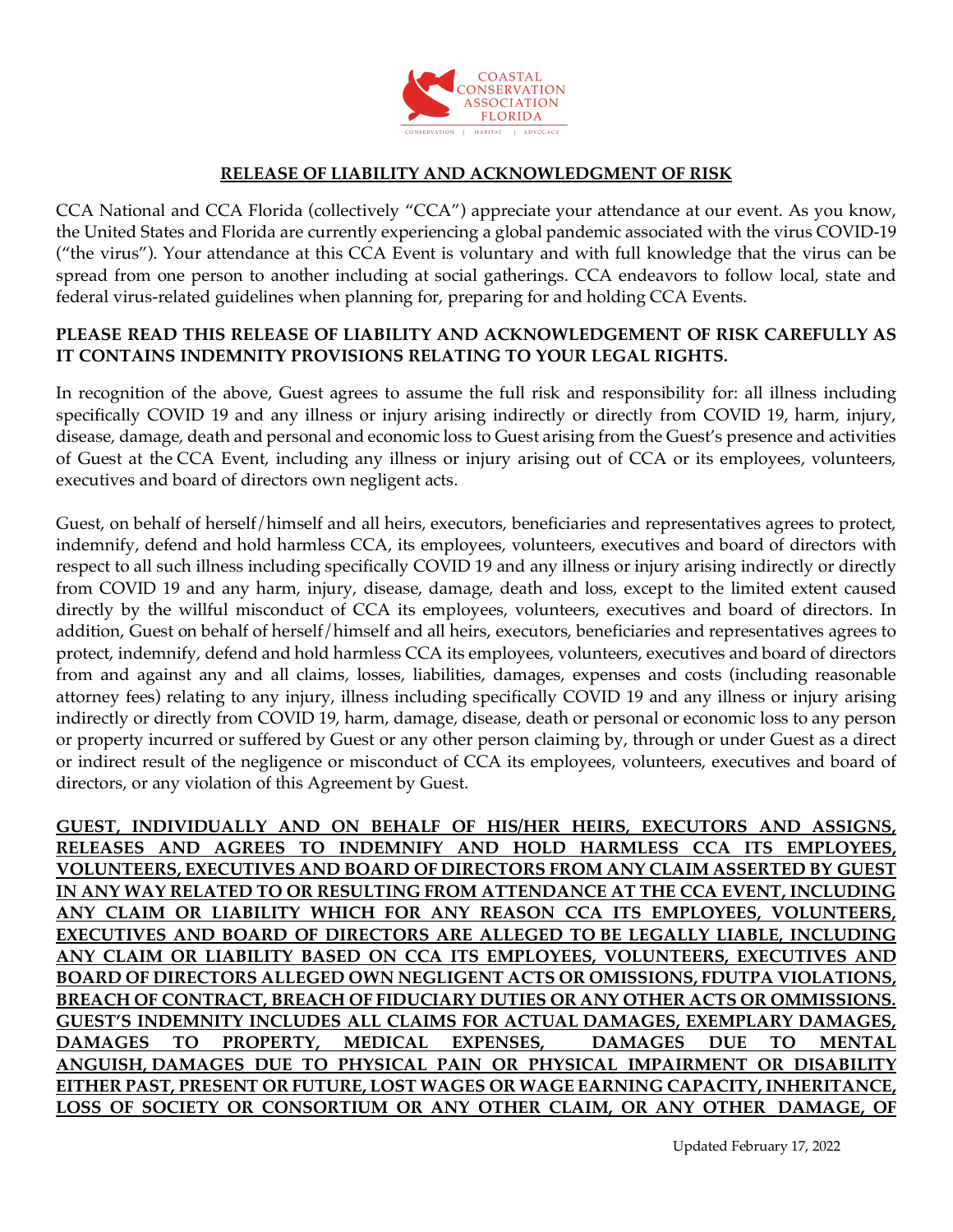

## **RELEASE OF LIABILITY AND ACKNOWLEDGMENT OF RISK**

CCA National and CCA Florida (collectively "CCA") appreciate your attendance at our event. As you know, the United States and Florida are currently experiencing a global pandemic associated with the virus COVID-19 ("the virus"). Your attendance at this CCA Event is voluntary and with full knowledge that the virus can be spread from one person to another including at social gatherings. CCA endeavors to follow local, state and federal virus-related guidelines when planning for, preparing for and holding CCA Events.

## **PLEASE READ THIS RELEASE OF LIABILITY AND ACKNOWLEDGEMENT OF RISK CAREFULLY AS IT CONTAINS INDEMNITY PROVISIONS RELATING TO YOUR LEGAL RIGHTS.**

In recognition of the above, Guest agrees to assume the full risk and responsibility for: all illness including specifically COVID 19 and any illness or injury arising indirectly or directly from COVID 19, harm, injury, disease, damage, death and personal and economic loss to Guest arising from the Guest's presence and activities of Guest at the CCA Event, including any illness or injury arising out of CCA or its employees, volunteers, executives and board of directors own negligent acts.

Guest, on behalf of herself/himself and all heirs, executors, beneficiaries and representatives agrees to protect, indemnify, defend and hold harmless CCA, its employees, volunteers, executives and board of directors with respect to all such illness including specifically COVID 19 and any illness or injury arising indirectly or directly from COVID 19 and any harm, injury, disease, damage, death and loss, except to the limited extent caused directly by the willful misconduct of CCA its employees, volunteers, executives and board of directors. In addition, Guest on behalf of herself/himself and all heirs, executors, beneficiaries and representatives agrees to protect, indemnify, defend and hold harmless CCA its employees, volunteers, executives and board of directors from and against any and all claims, losses, liabilities, damages, expenses and costs (including reasonable attorney fees) relating to any injury, illness including specifically COVID 19 and any illness or injury arising indirectly or directly from COVID 19, harm, damage, disease, death or personal or economic loss to any person or property incurred or suffered by Guest or any other person claiming by, through or under Guest as a direct or indirect result of the negligence or misconduct of CCA its employees, volunteers, executives and board of directors, or any violation of this Agreement by Guest.

**GUEST, INDIVIDUALLY AND ON BEHALF OF HIS/HER HEIRS, EXECUTORS AND ASSIGNS, RELEASES AND AGREES TO INDEMNIFY AND HOLD HARMLESS CCA ITS EMPLOYEES, VOLUNTEERS, EXECUTIVES AND BOARD OF DIRECTORS FROM ANY CLAIM ASSERTED BY GUEST IN ANY WAY RELATED TO OR RESULTING FROM ATTENDANCE AT THE CCA EVENT, INCLUDING ANY CLAIM OR LIABILITY WHICH FOR ANY REASON CCA ITS EMPLOYEES, VOLUNTEERS, EXECUTIVES AND BOARD OF DIRECTORS ARE ALLEGED TO BE LEGALLY LIABLE, INCLUDING ANY CLAIM OR LIABILITY BASED ON CCA ITS EMPLOYEES, VOLUNTEERS, EXECUTIVES AND BOARD OF DIRECTORS ALLEGED OWN NEGLIGENT ACTS OR OMISSIONS, FDUTPA VIOLATIONS, BREACH OF CONTRACT, BREACH OF FIDUCIARY DUTIES OR ANY OTHER ACTS OR OMMISSIONS. GUEST'S INDEMNITY INCLUDES ALL CLAIMS FOR ACTUAL DAMAGES, EXEMPLARY DAMAGES, DAMAGES TO PROPERTY, MEDICAL EXPENSES, DAMAGES DUE TO MENTAL ANGUISH, DAMAGES DUE TO PHYSICAL PAIN OR PHYSICAL IMPAIRMENT OR DISABILITY EITHER PAST, PRESENT OR FUTURE, LOST WAGES OR WAGE EARNING CAPACITY, INHERITANCE, LOSS OF SOCIETY OR CONSORTIUM OR ANY OTHER CLAIM, OR ANY OTHER DAMAGE, OF**